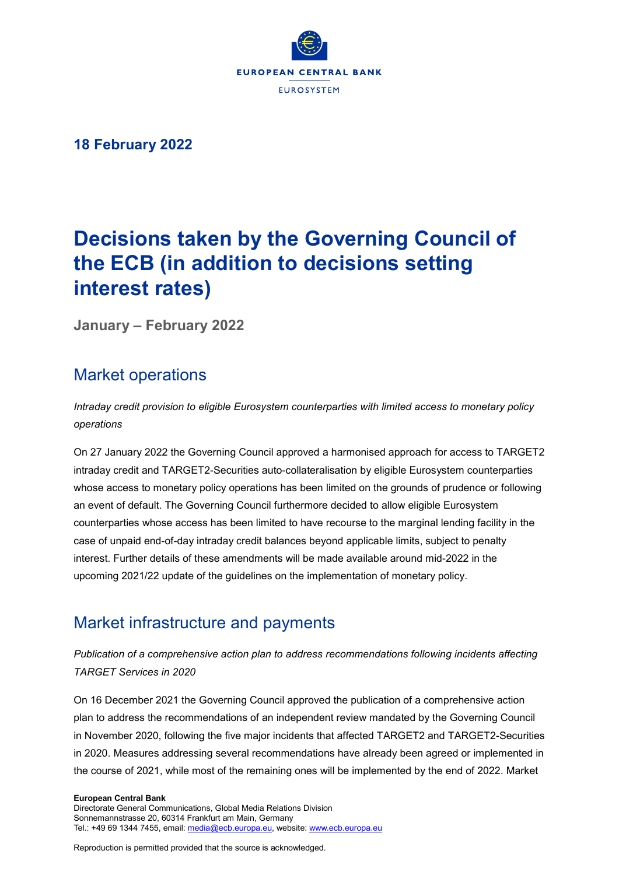

**18 February 2022**

# **Decisions taken by the Governing Council of the ECB (in addition to decisions setting interest rates)**

**January – February 2022**

## Market operations

*Intraday credit provision to eligible Eurosystem counterparties with limited access to monetary policy operations*

On 27 January 2022 the Governing Council approved a harmonised approach for access to TARGET2 intraday credit and TARGET2-Securities auto-collateralisation by eligible Eurosystem counterparties whose access to monetary policy operations has been limited on the grounds of prudence or following an event of default. The Governing Council furthermore decided to allow eligible Eurosystem counterparties whose access has been limited to have recourse to the marginal lending facility in the case of unpaid end-of-day intraday credit balances beyond applicable limits, subject to penalty interest. Further details of these amendments will be made available around mid-2022 in the upcoming 2021/22 update of the guidelines on the implementation of monetary policy.

## Market infrastructure and payments

### *Publication of a comprehensive action plan to address recommendations following incidents affecting TARGET Services in 2020*

On 16 December 2021 the Governing Council approved the publication of a comprehensive action plan to address the recommendations of an independent review mandated by the Governing Council in November 2020, following the five major incidents that affected TARGET2 and TARGET2-Securities in 2020. Measures addressing several recommendations have already been agreed or implemented in the course of 2021, while most of the remaining ones will be implemented by the end of 2022. Market

#### **European Central Bank**

Directorate General Communications, Global Media Relations Division Sonnemannstrasse 20, 60314 Frankfurt am Main, Germany Tel.: +49 69 1344 7455, email[: media@ecb.europa.eu,](mailto:media@ecb.europa.eu) website[: www.ecb.europa.eu](http://www.ecb.europa.eu/)

Reproduction is permitted provided that the source is acknowledged.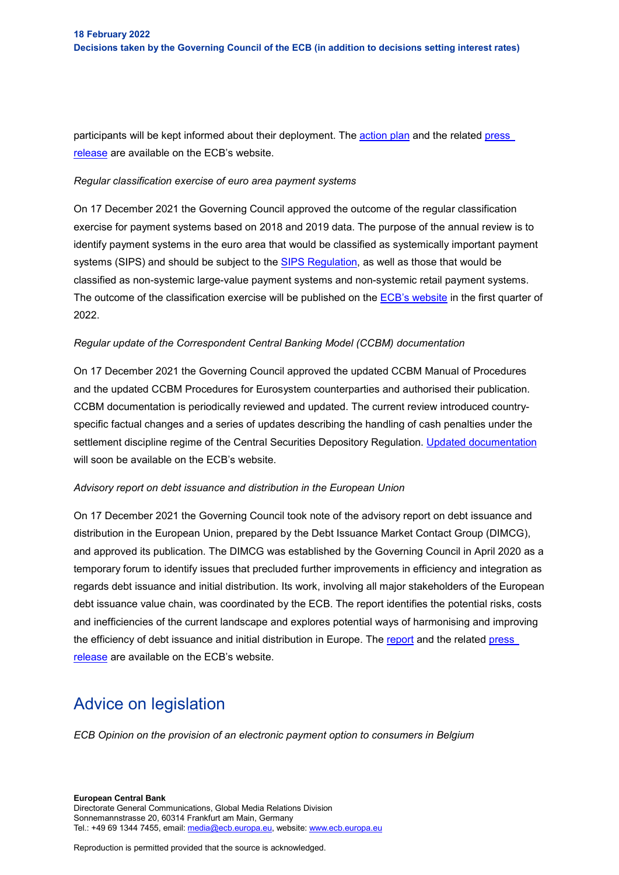participants will be kept informed about their deployment. The [action plan](https://www.ecb.europa.eu/paym/intro/publications/pdf/ecb.Actionplan_recommendations_TARGETServices_2020.en.pdf) and the related press [release](https://www.ecb.europa.eu/press/pr/date/2021/html/ecb.pr211217_1%7E512f6a4e74.en.html) are available on the ECB's website.

#### *Regular classification exercise of euro area payment systems*

On 17 December 2021 the Governing Council approved the outcome of the regular classification exercise for payment systems based on 2018 and 2019 data. The purpose of the annual review is to identify payment systems in the euro area that would be classified as systemically important payment systems (SIPS) and should be subject to the **SIPS Regulation**, as well as those that would be classified as non-systemic large-value payment systems and non-systemic retail payment systems. The outcome of the classification exercise will be published on the [ECB's website](https://www.ecb.europa.eu/paym/pol/activ/systems/html/index.en.html) in the first quarter of 2022.

#### *Regular update of the Correspondent Central Banking Model (CCBM) documentation*

On 17 December 2021 the Governing Council approved the updated CCBM Manual of Procedures and the updated CCBM Procedures for Eurosystem counterparties and authorised their publication. CCBM documentation is periodically reviewed and updated. The current review introduced countryspecific factual changes and a series of updates describing the handling of cash penalties under the settlement discipline regime of the Central Securities Depository Regulation. [Updated documentation](https://www.ecb.europa.eu/paym/coll/ccbm/html/index.en.html) will soon be available on the ECB's website.

#### *Advisory report on debt issuance and distribution in the European Union*

On 17 December 2021 the Governing Council took note of the advisory report on debt issuance and distribution in the European Union, prepared by the Debt Issuance Market Contact Group (DIMCG), and approved its publication. The DIMCG was established by the Governing Council in April 2020 as a temporary forum to identify issues that precluded further improvements in efficiency and integration as regards debt issuance and initial distribution. Its work, involving all major stakeholders of the European debt issuance value chain, was coordinated by the ECB. The report identifies the potential risks, costs and inefficiencies of the current landscape and explores potential ways of harmonising and improving the efficiency of debt issuance and initial distribution in Europe. The [report](https://www.ecb.europa.eu/pub/pdf/other/ecb.advisoryreportdebtissuancedistributionEU202112%7E3da04b818a.en.pdf) and the related press [release](https://www.ecb.europa.eu/paym/intro/news/html/ecb.mipnews211220.en.html) are available on the ECB's website.

### Advice on legislation

*ECB Opinion on the provision of an electronic payment option to consumers in Belgium*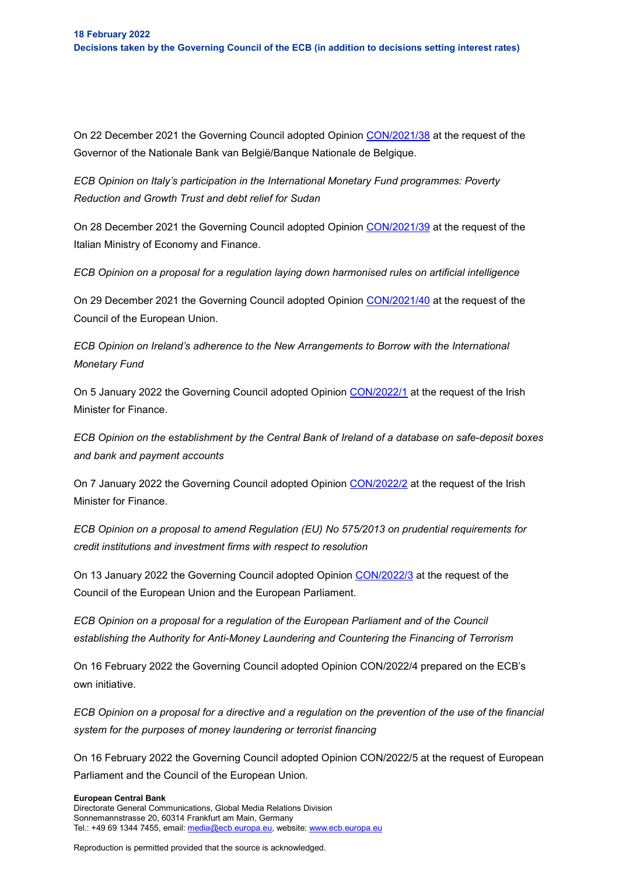On 22 December 2021 the Governing Council adopted Opinion [CON/2021/38](https://eur-lex.europa.eu/legal-content/EN/TXT/?uri=CELEX%3A52021AB0038&qid=1643788012633&home=ecb) at the request of the Governor of the Nationale Bank van België/Banque Nationale de Belgique.

*ECB Opinion on Italy's participation in the International Monetary Fund programmes: Poverty Reduction and Growth Trust and debt relief for Sudan*

On 28 December 2021 the Governing Council adopted Opinion [CON/2021/39](https://eur-lex.europa.eu/legal-content/EN/TXT/?uri=CELEX%3A52021AB0039&qid=1643788012633&home=ecb) at the request of the Italian Ministry of Economy and Finance.

*ECB Opinion on a proposal for a regulation laying down harmonised rules on artificial intelligence*

On 29 December 2021 the Governing Council adopted Opinion [CON/2021/40](https://www.ecb.europa.eu/pub/pdf/other/en_con_2021_40_f_sign%7Eeba69a1321..pdf) at the request of the Council of the European Union.

*ECB Opinion on Ireland's adherence to the New Arrangements to Borrow with the International Monetary Fund*

On 5 January 2022 the Governing Council adopted Opinion [CON/2022/1](https://eur-lex.europa.eu/legal-content/EN/TXT/?uri=CELEX%3A52022AB0001&qid=1643787843107&home=ecb) at the request of the Irish Minister for Finance.

*ECB Opinion on the establishment by the Central Bank of Ireland of a database on safe-deposit boxes and bank and payment accounts*

On 7 January 2022 the Governing Council adopted Opinion [CON/2022/2](https://eur-lex.europa.eu/legal-content/EN/TXT/?uri=CELEX%3A52022AB0002&qid=1643787843107&home=ecb) at the request of the Irish Minister for Finance.

*ECB Opinion on a proposal to amend Regulation (EU) No 575/2013 on prudential requirements for credit institutions and investment firms with respect to resolution*

On 13 January 2022 the Governing Council adopted Opinion [CON/2022/3](https://www.ecb.europa.eu/pub/pdf/other/en_con_2022_3_f_sign%7E9ae5d22e07..pdf) at the request of the Council of the European Union and the European Parliament.

*ECB Opinion on a proposal for a regulation of the European Parliament and of the Council establishing the Authority for Anti-Money Laundering and Countering the Financing of Terrorism*

On 16 February 2022 the Governing Council adopted Opinion CON/2022/4 prepared on the ECB's own initiative.

*ECB Opinion on a proposal for a directive and a regulation on the prevention of the use of the financial system for the purposes of money laundering or terrorist financing*

On 16 February 2022 the Governing Council adopted Opinion CON/2022/5 at the request of European Parliament and the Council of the European Union.

#### **European Central Bank**

Directorate General Communications, Global Media Relations Division Sonnemannstrasse 20, 60314 Frankfurt am Main, Germany Tel.: +49 69 1344 7455, email[: media@ecb.europa.eu,](mailto:media@ecb.europa.eu) website[: www.ecb.europa.eu](http://www.ecb.europa.eu/)

Reproduction is permitted provided that the source is acknowledged.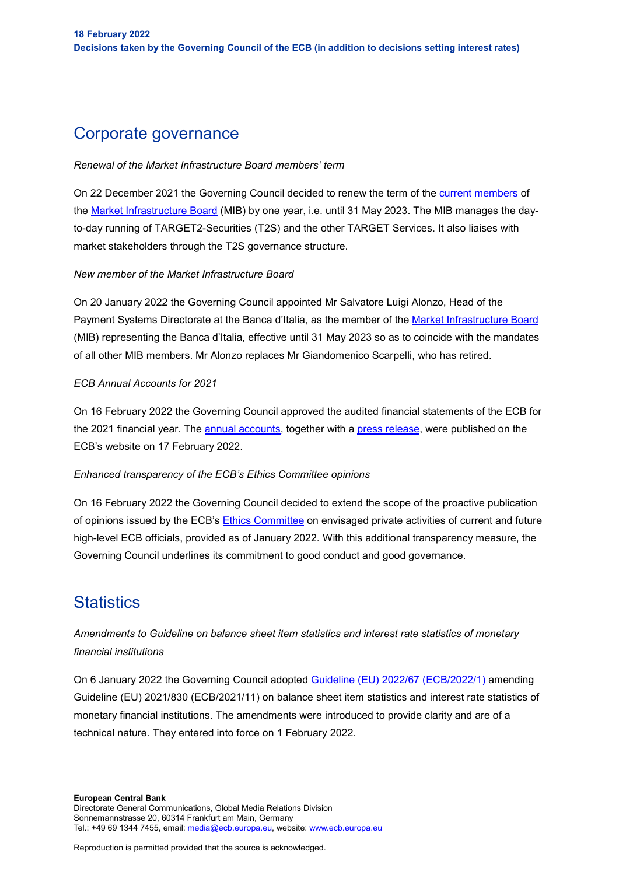### Corporate governance

#### *Renewal of the Market Infrastructure Board members' term*

On 22 December 2021 the Governing Council decided to renew the term of the [current members](https://www.ecb.europa.eu/paym/target/shared/pdf/MIB_list_of_members_2021.pdf) of the [Market Infrastructure Board](https://www.ecb.europa.eu/paym/target/t2s/governance/html/index.en.html) (MIB) by one year, i.e. until 31 May 2023. The MIB manages the dayto-day running of TARGET2-Securities (T2S) and the other TARGET Services. It also liaises with market stakeholders through the T2S governance structure.

#### *New member of the Market Infrastructure Board*

On 20 January 2022 the Governing Council appointed Mr Salvatore Luigi Alonzo, Head of the Payment Systems Directorate at the Banca d'Italia, as the member of the [Market Infrastructure Board](https://www.ecb.europa.eu/paym/target/t2s/governance/html/index.en.html) (MIB) representing the Banca d'Italia, effective until 31 May 2023 so as to coincide with the mandates of all other MIB members. Mr Alonzo replaces Mr Giandomenico Scarpelli, who has retired.

#### *ECB Annual Accounts for 2021*

On 16 February 2022 the Governing Council approved the audited financial statements of the ECB for the 2021 financial year. The [annual accounts,](https://www.ecb.europa.eu/pub/annual/annual-accounts/html/ecb.annualaccounts2021%7E5130ce3be2.en.html) together with a [press release,](https://www.ecb.europa.eu/press/pr/date/2022/html/ecb.pr220217%7E28ffc75d4c.en.html) were published on the ECB's website on 17 February 2022.

#### *Enhanced transparency of the ECB's Ethics Committee opinions*

On 16 February 2022 the Governing Council decided to extend the scope of the proactive publication of opinions issued by the ECB's [Ethics Committee](https://eur-lex.europa.eu/legal-content/EN/TXT/?uri=CELEX%3A32014D0059%2801%29&qid=1630320516536) on envisaged private activities of current and future high-level ECB officials, provided as of January 2022. With this additional transparency measure, the Governing Council underlines its commitment to good conduct and good governance.

### **Statistics**

*Amendments to Guideline on balance sheet item statistics and interest rate statistics of monetary financial institutions*

On 6 January 2022 the Governing Council adopted [Guideline \(EU\) 2022/67 \(ECB/2022/1\)](https://eur-lex.europa.eu/legal-content/EN/TXT/?uri=CELEX%3A32022O0067) amending Guideline (EU) 2021/830 (ECB/2021/11) on balance sheet item statistics and interest rate statistics of monetary financial institutions. The amendments were introduced to provide clarity and are of a technical nature. They entered into force on 1 February 2022.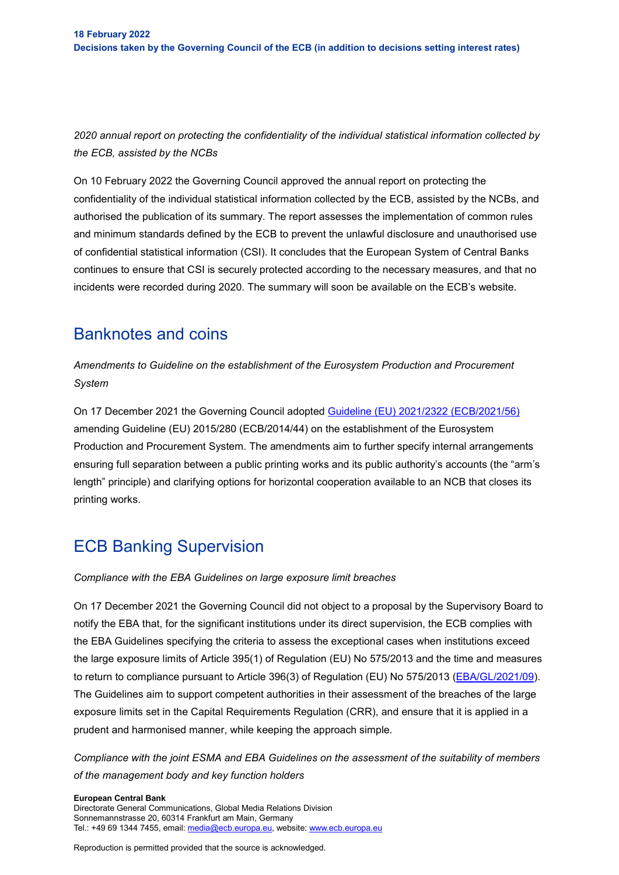*2020 annual report on protecting the confidentiality of the individual statistical information collected by the ECB, assisted by the NCBs*

On 10 February 2022 the Governing Council approved the annual report on protecting the confidentiality of the individual statistical information collected by the ECB, assisted by the NCBs, and authorised the publication of its summary. The report assesses the implementation of common rules and minimum standards defined by the ECB to prevent the unlawful disclosure and unauthorised use of confidential statistical information (CSI). It concludes that the European System of Central Banks continues to ensure that CSI is securely protected according to the necessary measures, and that no incidents were recorded during 2020. The summary will soon be available on the ECB's website.

### Banknotes and coins

*Amendments to Guideline on the establishment of the Eurosystem Production and Procurement System*

On 17 December 2021 the Governing Council adopted [Guideline \(EU\) 2021/2322 \(ECB/2021/56\)](https://eur-lex.europa.eu/legal-content/EN/TXT/?uri=CELEX%3A32021O2322&qid=1643993050670&home=ecb) amending Guideline (EU) 2015/280 (ECB/2014/44) on the establishment of the Eurosystem Production and Procurement System. The amendments aim to further specify internal arrangements ensuring full separation between a public printing works and its public authority's accounts (the "arm's length" principle) and clarifying options for horizontal cooperation available to an NCB that closes its printing works.

## ECB Banking Supervision

#### *Compliance with the EBA Guidelines on large exposure limit breaches*

On 17 December 2021 the Governing Council did not object to a proposal by the Supervisory Board to notify the EBA that, for the significant institutions under its direct supervision, the ECB complies with the EBA Guidelines specifying the criteria to assess the exceptional cases when institutions exceed the large exposure limits of Article 395(1) of Regulation (EU) No 575/2013 and the time and measures to return to compliance pursuant to Article 396(3) of Regulation (EU) No 575/2013 [\(EBA/GL/2021/09\)](https://www.eba.europa.eu/eba-publishes-final-guidance-assess-breaches-large-exposure-limits). The Guidelines aim to support competent authorities in their assessment of the breaches of the large exposure limits set in the Capital Requirements Regulation (CRR), and ensure that it is applied in a prudent and harmonised manner, while keeping the approach simple.

*Compliance with the joint ESMA and EBA Guidelines on the assessment of the suitability of members of the management body and key function holders*

#### **European Central Bank**

Directorate General Communications, Global Media Relations Division Sonnemannstrasse 20, 60314 Frankfurt am Main, Germany Tel.: +49 69 1344 7455, email[: media@ecb.europa.eu,](mailto:media@ecb.europa.eu) website[: www.ecb.europa.eu](http://www.ecb.europa.eu/)

Reproduction is permitted provided that the source is acknowledged.